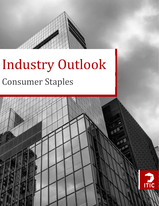

 $\frac{\mu}{\hbar}$ 

# Industry Outlook Consumer Staples

8

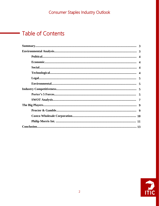# **Table of Contents**

 $\sim 10^{11}$  m  $^{-1}$ 

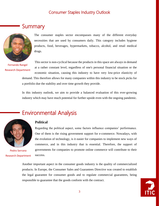## **Summary**



The consumer staples sector encompasses many of the different everyday necessities that are used by consumers daily. This category includes hygiene products, food, beverages, hypermarkets, tobacco, alcohol, and retail medical drugs.

Fernando Rangel Research Department

This sector is non-cyclical because the products in this space are always in demand at a rather constant level, regardless of one's personal financial situation or the economic situation, causing this industry to have very low-price elasticity of demand. This therefore allows for many companies within this industry to be stock picks for a portfolio due the stability and over time growth they provide.

In this industry outlook, we aim to provide a balanced evaluation of this ever-growing industry which may have much potential for further upside even with the ongoing pandemic.



Pedro Serrano Research Department

#### **Political**

Environmental Analysis

Regarding the political aspect, some factors influence companies' performance. One of them is the rising government support for e-commerce. Nowadays, with the evolution of technology, is it easier for companies to implement new ways of commerce, and in this industry that is essential. Therefore, the support of governments for companies to promote online commerce will contribute to their success.

Another important aspect in the consumer goods industry is the quality of commercialized products. In Europe, the Consumer Sales and Guarantees Directive was created to establish the legal guarantee for consumer goods and to regulate commercial guarantees, being responsible to guarantee that the goods conform with the contract.

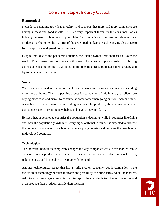#### **Economical**

Nowadays, economic growth is a reality, and it shows that more and more companies are having success and good results. This is a very important factor for the consumer staples industry because it gives new opportunities for companies to innovate and develop new products. Furthermore, the majority of the developed markets are stable, giving also space to free competition and growth opportunities.

Despite that, due to the pandemic situation, the unemployment rate increased all over the world. This means that consumers will search for cheaper options instead of buying expensive consumer products. With that in mind, companies should adapt their strategy and try to understand their target.

#### **Social**

With the current pandemic situation and the online work and classes, consumers are spending more time at home. This is a positive aspect for companies of this industry, as clients are buying more food and drinks to consume at home rather than going out for lunch or dinner. Apart from that, consumers are demanding new healthier products, giving consumer staples companies space to promote new habits and develop new products.

Besides that, in developed countries the population is declining, while in countries like China and India the population growth rate is very high. With that in mind, it is expected to increase the volume of consumer goods bought in developing countries and decrease the ones bought in developed countries.

#### **Technological**

The industrial revolution completely changed the way companies work in this market. While decades ago the production was mainly artisanal, currently companies produce in mass, reducing costs and being able to keep up with demand.

Another technological aspect that has an influence on consumer goods companies, is the evolution of technology because it created the possibility of online sales and online markets. Additionally, nowadays companies can transport their products to different countries and even produce their products outside their location.

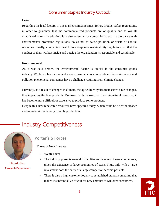#### **Legal**

Regarding the legal factors, in this market companies must follow product safety regulations, in order to guarantee that the commercialized products are of quality and follow all established norms. In addition, it is also essential for companies to act in accordance with environmental protection regulations, so as not to cause pollution or waste of natural resources. Finally, companies must follow corporate sustainability regulations, so that the conduct of their workers inside and outside the organization is responsible and sustainable.

#### **Environmental**

As it was said before, the environmental factor is crucial in the consumer goods industry. While we have more and more consumers concerned about the environment and pollution phenomena, companies have a challenge resulting from climate change.

Currently, as a result of changes in climate, the agriculture cycles themselves have changed, thus impacting the final products. Moreover, with the overuse of certain natural resources, it has become more difficult or expensive to produce some products.

Despite this, new renewable resources have appeared today, which could be a bet for cleaner and more environmentally friendly production.

# Industry Competitiveness



Ricardo Pino Research Department

## Porter's 5 Forces

#### Threat of New Entrants

- **Weak Force**
- The industry presents several difficulties to the entry of new competitors, given the existence of large economies of scale. Thus, only with a large investment does the entry of a large competitor become possible.
- There is also a high customer loyalty to established brands, something that makes it substantially difficult for new entrants to win over consumers.

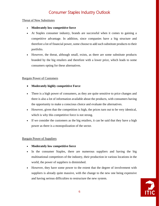#### Threat of New Substitutes

#### • **Moderately low competitive force**

- At Staples consumer industry, brands are successful when it comes to gaining a competitive advantage. In addition, since companies have a big structure and therefore a lot of financial power, some choose to add such substitute products to their portfolio.
- However, the threat, although small, exists, as there are some substitute products branded by the big retailers and therefore with a lower price, which leads to some consumers opting for these alternatives.

#### Bargain Power of Customers

- **Moderately highly competitive Force**
- There is a high power of consumers, as they are quite sensitive to price changes and there is also a lot of information available about the products, with consumers having the opportunity to make a conscious choice and evaluate the alternatives.
- However, given that the competition is high, the prices turn out to be very identical, which is why this competitive force is not strong.
- If we consider the customers as the big retailers, it can be said that they have a high power as there is a monopolization of the sector.

#### Bargain Power of Suppliers

- **Moderately low competitive force**
- In the consumer Staples, there are numerous suppliers and having the big multinational competitors of the industry, their production in various locations in the world, the power of suppliers is diminished.
- However, they have some power to the extent that the degree of involvement with suppliers is already quite massive, with the change to the new one being expensive and having serious difficulties to restructure the new system.

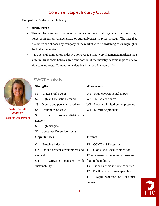#### Competitive rivalry within industry

- **Strong Force**
- This is a force to take in account in Staples consumer industry, since there is a very fierce competition, characteristic of aggressiveness in price strategy. The fact that customers can choose any company in the market with no switching costs, highlights the high competition.
- It is a several competitors industry, however it is a not very fragmented market, since large multinationals hold a significant portion of the industry in some regions due to high start-up costs. Competition exists but is among few companies.



Beatriz Garrett Lourenço Research Department

| <b>Strengths</b>                           | <b>Weaknesses</b>                       |
|--------------------------------------------|-----------------------------------------|
| $S1 - An Essential Sector$                 | $W1 - High environmental impact$        |
| S <sub>2</sub> – High and Inelastic Demand | $W2$ – Imitable products                |
| S3 – Diverse and persistent products       | $W3$ – Low and limited online presence  |
| S4 – Economies of scale                    | $W4 -$ Substitute products              |
| S5 - Efficient product distribution        |                                         |
| network                                    |                                         |
| $S6 - High$ margins                        |                                         |
| S7 – Consumer Defensive stocks             |                                         |
| <b>Opportunities</b>                       | <b>Threats</b>                          |
| $O1 -$ Growing industry                    | $T1 - COVID-19$ Recession               |
| $O2$ – Online present development and      | $T2 - Global$ and Local competition     |
| demand                                     | T3 – Increase in the value of taxes and |
| O4<br>Growing<br>with<br>concern           | fees in the industry                    |
| sustainability                             | T4 – Trade Barriers in some countries   |
|                                            | $T5 -$ Decline of consumer spending     |
|                                            | T6 - Rapid evolution of Consumer        |
|                                            | demands                                 |

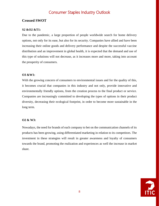#### **Crossed SWOT**

#### **S2 &O2 &T1:**

Due to the pandemic, a large proportion of people worldwide search for home delivery options, not only for its ease, but also for its security. Companies have allied and have been increasing their online goods and delivery performance and despite the successful vaccine distribution and an improvement in global health, it is expected that the demand and use of this type of solutions will not decrease, as it increases more and more, taking into account the prosperity of consumers.

#### **O3 &W1:**

With the growing concern of consumers to environmental issues and for the quality of this, it becomes crucial that companies in this industry and not only, provide innovative and environmentally friendly options, from the creation process to the final product or service. Companies are increasingly committed to developing the types of options in their product diversity, decreasing their ecological footprint, in order to become more sustainable in the long term.

#### **O2 & W3:**

Nowadays, the need for brands of each company to bet on the communication channels of its products has been growing, using differentiated marketing in relation to its competitors. The investment in these strategies will result in greater awareness and loyalty of consumers towards the brand, promoting the realization and experiences as well the increase in market share.

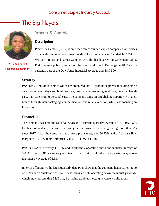# The Big Players



Fernando Rangel Research Department

### Procter & Gamble

#### **Description**

Procter & Gamble (P&G) is an American consumer staples company that focuses on a wide range of consumer goods. The company was founded in 1837 by William Procter and James Gamble, with the headquarters in Cincinnati, Ohio. P&G became publicly traded on the New York Stock Exchange in 1890 and is currently part of the Dow Jones Industrial Average and S&P 500.

#### **Strategy**

P&G has 65 individual brands which are organized into 10 product segments including fabric care, home care, baby care, feminine care, family care, grooming, oral care, personal health care, hair care, skin & personal care. The company aims on establishing superiority in their brands through their packaging, communication, and retail execution, while also focusing on innovation.

#### **Financials**

The company has a market cap of 337.88B and a current quarterly revenue of 18.109B. P&G has been on a steady rise over the past years in terms of revenue, growing more than 7% since 2017. Also, the company has a gross profit margin of 50.73% and a free cash flow margin of 18.95%, their Enterprise Value/EBITDA is 17.18.

P&G's ROA is currently 11.04% and is currently operating above the industry average of 3.03%. Their ROE is also very efficient, currently at 27.04, which is operating way above the industry average of 6.53.

In terms of liquidity, the latest quarterly data (Q3) show that the company had a current ratio of 0.71x and a quick ratio of 0.52. These ratios are both operating below the industry average which may indicate that P&G may be having troubles meeting its current obligations.

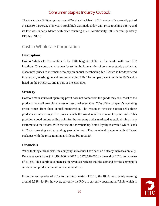The stock price (PG) has grown over 45% since the March 2020 crash and is currently priced at \$136.96 11/05/21. This year's stock high was made today with price touching 138.72 and its low was in early March with price touching \$120. Additionally, P&G current quarterly EPS is at \$1.26

## Costco Wholesale Corporation

#### **Description**

Costco Wholesale Corporation is the fifth biggest retailer in the world with over 782 locations. This company is known for selling bulk quantities of consumer staple products at discounted prices to members who pay an annual membership fee. Costco is headquartered in Issaquah, Washington and was founded in 1976. The company went public in 1985 and is listed on the NASDAQ and is part of the S&P 500.

#### **Strategy**

Costco's main source of operating profit does not come from the goods they sell. Most of the products they sell are sold at a loss or just breakeven. Over 70% of the company's operating profit comes from their annual membership. The reason is because Costco sells these products at very competitive prices which the usual retailers cannot keep up with. This provides a good unique selling point for the company and is marketed as such, driving many customers to their store. With the use of a membership, brand loyalty is created which leads to Costco growing and expanding year after year. The membership comes with different packages with the price ranging as little as \$60 to \$120.

#### **Financials**

When looking at financials, the company's revenues have been on a steady increase annually. Revenues went from \$121,194,000 in 2017 to \$178,626,000 by the end of 2020, an increase of 47.3%. This continuous increase in revenues reflects that the demand for the company's services and products remain on a continual rise.

From the 2nd quarter of 2017 to the third quarter of 2019, the ROA was mainly roaming around 6.58%-8.42%, however, currently the ROA is currently operating at 7.81% which is

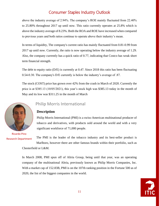above the industry average of 2.94%. The company's ROE mainly fluctuated from 22.40% to 25.80% throughout 2017 up until now. This ratio currently operates at 25.8% which is above the industry average of 8.23%. Both the ROA and ROE have increased when compared to previous years and both ratios continue to operate above their industry's mean.

In terms of liquidity, The company's current ratio has mainly fluctuated from 0.81-0.99 from 2017 up until now. Currently, the ratio is now operating below the industry average of 1.29. Also, the company currently has a quick ratio of 0.77, indicating that Costco has weak short term financial strength.

The debt to equity ratio (D/E) is currently at 0.47. Since 2018 this ratio has been fluctuating 0.54-0.30. The company's D/E currently is below the industry's average of .87.

The stock (COST) price has grown over 42% from the crash in March of 2020. Currently the price is at \$385.13 (10/05/2021), this year's stock high was \$385.13 today in the month of May and its low was \$311.25 in the month of March



Ricardo Pino Research Department

## Philip Morris International

#### **Description**

Philip Morris International (PMI) is a swiss-American multinational producer of tobacco and derivatives, with products sold around the world and with a very significant workforce of 71,000 people.

The PMI is the leader of the tobacco industry and its best-seller product is Marlboro, however there are other famous brands within their portfolio, such as Chesterfield or L&M.

In March 2008, PMI spun off of Altria Group, being until that year, was an operating company of the multinational Altria, previously known as Philip Morris Companies, Inc. With a market cap of 152.83B, PMI is on the 107th ranking position in the Fortune 500 as of 2020, the list of the biggest companies in the world.

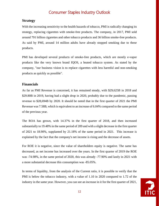#### **Strategy**

With the increasing sensitivity to the health hazards of tobacco, PMI is radically changing its strategy, replacing cigarettes with smoke-free products. The company, in 2017, PMI sold around 791 billion cigarettes and other tobacco products and 36 billion smoke-free products. As said by PMI, around 14 million adults have already stopped smoking due to these products.

PMI has developed several products of smoke-free products, which are mostly e-vapor products like the very known brand IQOS, a heated tobacco system. As stated by the company, "our business vision is to replace cigarettes with less harmful and non-smoking products as quickly as possible".

#### **Financials**

As far as PMI Revenue is concerned, it has remained steady, with \$29,625B in 2018 and \$29.80B in 2019, having had a slight drop in 2020, probably due to the pandemic, passing revenue to \$28,694B by 2020. It should be noted that in the first quarter of 2021 the PMI Revenue was 7.58B, which is equivalent to an increase of 6.04% compared to the same period of the previous year.

The ROA has grown, with 14.37% in the first quarter of 2018, and then increased substantially to 19.48% in the same period of 209 and with a slight decrease in the first quarter of 2021 to 18.90%, supplanted by 21.18% of the same period in 2021. This increase is explained by the fact that the company's net income is rising and the decrease of assets.

For ROE it is negative, since the value of shareholders equity is negative. The same has decreased, as net income has increased over the years. In the first quarter of 2019 the ROE was -74.98%, in the same period of 2020, this was already -77.90% and lastly in 2021 with a more substantial decrease this consumption was -85.05%.

In terms of liquidity, from the analysis of the Current ratio, it is possible to verify that the PMI is below the tobacco industry, with a value of 1.10 in 2020 compared to 1.72 of the industry in the same year. However, you can see an increase in it for the first quarter of 2021,

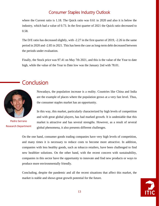where the Current ratio is 1.18. The Quick ratio was 0.61 in 2020 and also it is below the industry, which had a value of 0.73. In the first quarter of 2021 the Quick ratio decreased to 0.58.

The D/E ratio has decreased slightly, with -2.27 in the first quarter of 2019, -2.26 in the same period in 2020 and -2.85 in 2021. This has been the case as long-term debt decreased between the periods under evaluation.

Finally, the Stock price was 97.41 on May 7th 2021, and this is the value of the Year to date high, while the value of the Year to Date low was the January 2nd with 78.01.

# **Conclusion**



Pedro Serrano Research Department

Nowadays, the population increase is a reality. Countries like China and India are the example of places where the population grows at a very fast level. Thus, the consumer staples market has an opportunity.

In this way, this market, particularly characterized by high levels of competition and with great global players, has had marked growth. It is undeniable that this market is attractive and has several strengths. However, as a result of several global phenomena, it also presents different challenges.

On the one hand, consumer goods trading companies have very high levels of competition, and many times it is necessary to reduce costs to become more attractive. In addition, companies with less healthy goods, such as tobacco retailers, have been challenged to find new healthier solutions. On the other hand, with the recent concern with sustainability, companies in this sector have the opportunity to innovate and find new products or ways to produce more environmentally friendly.

Concluding, despite the pandemic and all the recent situations that affect this market, the market is stable and shows great growth potential for the future.